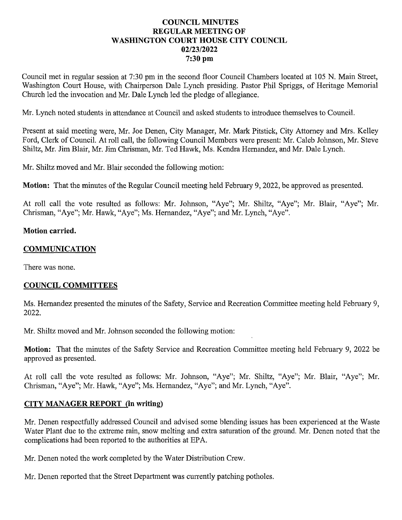## **COUNCIL MINUTES** REGULAR MEETING OF WASHINGTON COURT HOUSE CITY COUNCIL 02/23/2022 7:30 pm

Council met in regular session at 7:30 pmin the second floor Council Chambers located at <sup>105</sup> N. Main Street, Washington Court House, with Chairperson Dale Lynch presiding. Pastor Phil Spriggs, of Heritage Memorial Church led the invocation and Mr. Dale Lynch led the pledge of allegiance.

Mr. Lynch noted students in attendance at Council and asked students to introduce themselves to Council.

Present at said meeting were, Mr. Joe Denen, City Manager, Mr. Mark Pitstick, City Attorney and Mrs. Kelley Ford, Clerk of Council. At roll call, the following Council Members were present: Mr. Caleb Johnson, Mr. Steve Shiltz, Mr. Jim Blair, Mr. Jim Chrisman, Mr. Ted Hawk, Ms. Kendra Hernandez, and Mr. Dale Lynch.

Mr. Shiltz moved and Mr. Blair seconded the following motion:

Motion: That the minutes of the Regular Council meeting held February 9, 2022, be approved as presented.

At roll call the vote resulted as follows: Mr. Johnson, "Aye"; Mr. Shiltz, "Aye"; Mr. Blair, "Aye"; Mr. Chrisman, "Aye"; Mr. Hawk, "Aye"; Ms. Hernandez, "Aye"; and Mr. Lynch, "Aye".

#### Motion carried.

#### COMMUNICATION

There was none.

## COUNCIL COMMITTEES

Ms. Hernandez presented the minutes of the Safety, Service and Recreation Committee meeting held February 9, 2022.

Mr. Shiltz moved and Mr. Johnson seconded the following motion:

Motion: That the minutes of the Safety Service and Recreation Committee meeting held February 9, 2022 be approved as presented.

At roll call the vote resulted as follows: Mr. Johnson, "Aye"; Mr. Shiltz, "Aye"; Mr. Blair, "Aye"; Mr. Chrisman, "Aye"; Mr. Hawk, "Aye"; Ms. Hernandez, "Aye"; and Mr. Lynch, "Aye".

## CITY MANAGER REPORT (in writing)

Mr. Denen respectfully addressed Council and advised some blending issues has been experienced at the Waste Water Plant due to the extreme rain, snow melting and extra saturation of the ground. Mr. Denen noted that the complications had been reported to the authorities at EPA.

Mr. Denen noted the work completed by the Water Distribution Crew.

Mr. Denen reported that the Street Department was currently patching potholes.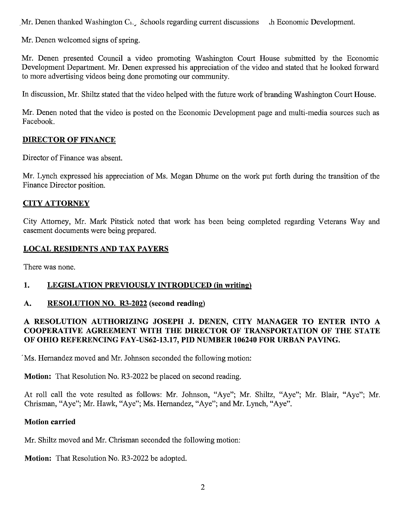Mr. Denen thanked Washington C<sub>1</sub>. Schools regarding current discussions di Economic Development.

Mr. Denen welcomed signs of spring.

Mr. Denen presented Council a video promoting Washington Court House submitted by the Economic Development Department. Mr. Denen expressed his appreciation of the video and stated that he looked forward to more advertising videos being done promoting our community.

In discussion, Mr. Shiltz stated that the video helped with the future work of branding Washington Court House.

Mr. Denen noted that the video is posted on the Economic Development page and multi-media sources such as Facebook.

### DIRECTOR OF FINANCE

Director of Finance was absent.

Mr. Lynch expressed his appreciation of Ms. Megan Dhume on the work put forth during the transition of the Finance Director position.

### CITYATTORNEY

City Attorney, Mr. Mark Pitstick noted that work has been being completed regarding Veterans Way and easement documents were being prepared.

#### LOCAL RESIDENTS AND TAX PAYERS

There was none.

## 1. LEGISLATION PREVIOUSLY INTRODUCED (in writing)

#### A. RESOLUTION NO. R3-2022 (second reading)

## RESOLUTION AUTHORIZING JOSEPH J. DENEN, CITY MANAGER TO ENTER INTO A RESOLUTION AUTHORIZING JOSEPH J. DENEN, CITY MANAGER TO ENTER INTO A<br>COOPERATIVE AGREEMENT WITH THE DIRECTOR OF TRANSPORTATION OF THE STATE COOPERATIVE AGREEMENT WITH THE DIRECTOR OF TRANSPORTATION OF THE STATE OF OHIO REFERENCING FAY-US62-13.17, PID NUMBER 106240 FOR URBAN PAVING.

'Ms. Hernandez moved and Mr. Johnson seconded the following motion:

**Motion:** That Resolution No. R3-2022 be placed on second reading.

At roll call the vote resulted as follows: Mr. Johnson, "Aye"; Mr. Shiltz, "Aye"; Mr. Blair, "Aye"; Mr. Chrisman, "Aye"; Mr. Hawk, "Aye"; Ms. Hernandez, "Aye"; and Mr. Lynch, "Aye".

#### Motion carried

Mr. Shiltz moved and Mr. Chrisman seconded the following motion:

Motion: That Resolution No. R3-2022 be adopted.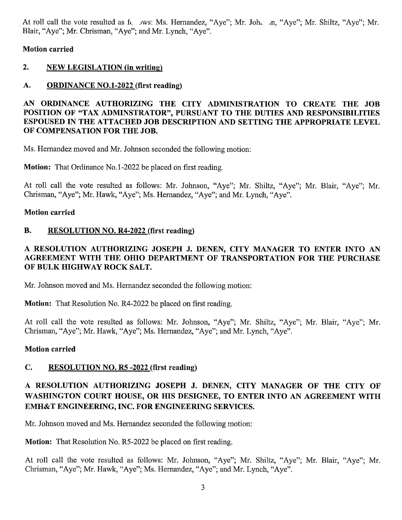At roll call the vote resulted as fc jws: Ms. Hernandez, "Aye"; Mr. Joh. *jn*, "Aye"; Mr. Shiltz, "Aye"; Mr. Blair, "Aye"; Mr. Chrisman, "Aye"; and Mr. Lynch, "Aye".

Motion carried

## 2. NEW LEGISLATION (in writing)

## A. ORDINANCE NO.1-2022 (first reading)

## AN ORDINANCE AUTHORIZING THE CITY ADMINISTRATION TO CREATE THE JOB AN ORDINANCE AUTHORIZING THE CITY ADMINISTRATION TO CREATE THE JOB<br>POSITION OF "TAX ADMINSTRATOR", PURSUANT TO THE DUTIES AND RESPONSIBILITIES POSITION OF "TAX ADMINSTRATOR", PURSUANT TO THE DUTIES AND RESPONSIBILITIES ESPOUSED IN THE ATTACHED JOB DESCRIPTION AND SETTING THE APPROPRIATE LEVEL OF COMPENSATION FOR THE JOB. ESPOUSED IN THE ATTACHED JOB DESCRIPTION AND SETTING THE APPROPRIATE LEVEL

Ms. Hernandez moved and Mr. Johnson seconded the following motion:

**Motion:** That Ordinance No.1-2022 be placed on first reading.

At roll call the vote resulted as follows: Mr. Johnson, "Aye"; Mr. Shiltz, "Aye"; Mr. Blair, "Aye"; Mr. Chrisman, "Aye"; Mr. Hawk, "Aye"; Ms. Hernandez, "Aye"; and Mr. Lynch, "Aye".

## Motion carried

## B. RESOLUTION NO. R4-2022 (first reading)

## RESOLUTION AUTHORIZING JOSEPH J. DENEN, CITY MANAGER TO ENTER INTO AN A RESOLUTION AUTHORIZING JOSEPH J. DENEN, CITY MANAGER TO ENTER INTO AN<br>AGREEMENT WITH THE OHIO DEPARTMENT OF TRANSPORTATION FOR THE PURCHASE AGREEMENT WITH THE OHIO DEPARTMENT OF TRANSPORTATION FOR THE PURCHASE<br>OF BULK HIGHWAY ROCK SALT.

Mr. Johnson moved and Ms. Hernandez seconded the following motion:

Motion: That Resolution No. R4-2022 be placed on first reading.

At roll call the vote resulted as follows: Mr. Johnson, "Aye"; Mr. Shiltz, "Aye"; Mr. Blair, "Aye"; Mr. Chrisman, "Aye"; Mr. Hawk, "Aye"; Ms. Hernandez, "Aye"; and Mr. Lynch, "Aye".

## Motion carried

## C. RESOLUTION NO. R5 -2022 (first reading)

# RESOLUTION AUTHORIZING JOSEPH J. DENEN, CITY MANAGER OF THE CITY OF A RESOLUTION AUTHORIZING JOSEPH J. DENEN, CITY MANAGER OF THE CITY OF<br>WASHINGTON COURT HOUSE, OR HIS DESIGNEE, TO ENTER INTO AN AGREEMENT WITH WASHINGTON COURT HOUSE, OR HIS DESIGNEE, TO ENTER INTO AN AGREEMENT WITH EMH&T ENGINEERING, INC. FOR ENGINEERING SERVICES.

Mr. Johnson moved and Ms. Hernandez seconded the following motion:

Motion: That Resolution No. R5-2022 be placed on first reading.

At roll call the vote resulted as follows: Mr. Johnson, "Aye"; Mr. Shiltz, "Aye"; Mr. Blair, "Aye"; Mr. Chrisman, "Aye"; Mr. Hawk, "Aye"; Ms. Hernandez, "Aye"; and Mr. Lynch, "Aye".